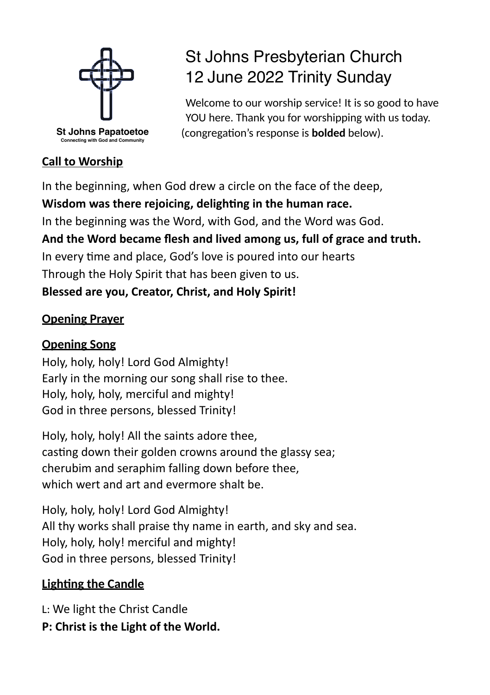

# St Johns Presbyterian Church 12 June 2022 Trinity Sunday

Welcome to our worship service! It is so good to have YOU here. Thank you for worshipping with us today. (congregation's response is **bolded** below).

## **Call to Worship**

In the beginning, when God drew a circle on the face of the deep, Wisdom was there rejoicing, delighting in the human race. In the beginning was the Word, with God, and the Word was God. **And the Word became flesh and lived among us, full of grace and truth.** In every time and place, God's love is poured into our hearts Through the Holy Spirit that has been given to us. **Blessed are you, Creator, Christ, and Holy Spirit!**

## **Opening Prayer**

## **Opening Song**

Holy, holy, holy! Lord God Almighty! Early in the morning our song shall rise to thee. Holy, holy, holy, merciful and mighty! God in three persons, blessed Trinity!

Holy, holy, holy! All the saints adore thee, casting down their golden crowns around the glassy sea; cherubim and seraphim falling down before thee, which wert and art and evermore shalt be.

Holy, holy, holy! Lord God Almighty! All thy works shall praise thy name in earth, and sky and sea. Holy, holy, holy! merciful and mighty! God in three persons, blessed Trinity!

## **Lighting the Candle**

- L: We light the Christ Candle
- **P: Christ is the Light of the World.**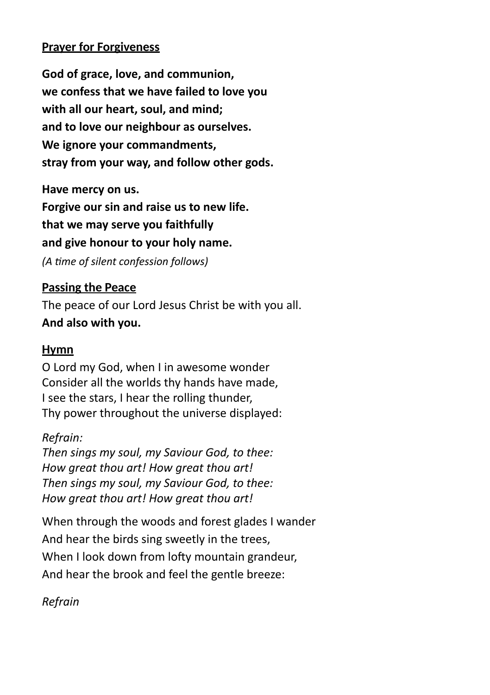## **Prayer for Forgiveness**

**God of grace, love, and communion, we confess that we have failed to love you with all our heart, soul, and mind; and to love our neighbour as ourselves. We ignore your commandments, stray from your way, and follow other gods.**

**Have mercy on us. Forgive our sin and raise us to new life. that we may serve you faithfully and give honour to your holy name.** *(A \$me of silent confession follows)*

#### **Passing the Peace**

The peace of our Lord Jesus Christ be with you all. **And also with you.**

## **Hymn**

O Lord my God, when I in awesome wonder Consider all the worlds thy hands have made, I see the stars, I hear the rolling thunder, Thy power throughout the universe displayed:

#### *Refrain:*

*Then sings my soul, my Saviour God, to thee: How great thou art! How great thou art! Then sings my soul, my Saviour God, to thee: How great thou art! How great thou art!*

When through the woods and forest glades I wander And hear the birds sing sweetly in the trees, When I look down from lofty mountain grandeur, And hear the brook and feel the gentle breeze:

*Refrain*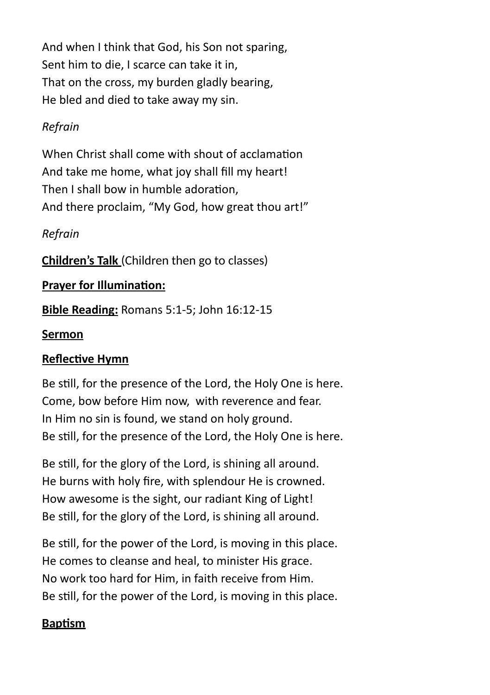And when I think that God, his Son not sparing, Sent him to die, I scarce can take it in, That on the cross, my burden gladly bearing, He bled and died to take away my sin.

## *Refrain*

When Christ shall come with shout of acclamation And take me home, what joy shall fill my heart! Then I shall bow in humble adoration. And there proclaim, "My God, how great thou art!"

## *Refrain*

**Children's Talk** (Children then go to classes)

## **Prayer for Illumination:**

**Bible Reading:** Romans 5:1-5; John 16:12-15

#### **Sermon**

## **Reflective Hymn**

Be still. for the presence of the Lord, the Holy One is here. Come, bow before Him now, with reverence and fear. In Him no sin is found, we stand on holy ground. Be still, for the presence of the Lord, the Holy One is here.

Be still, for the glory of the Lord, is shining all around. He burns with holy fire, with splendour He is crowned. How awesome is the sight, our radiant King of Light! Be still, for the glory of the Lord, is shining all around.

Be still, for the power of the Lord, is moving in this place. He comes to cleanse and heal, to minister His grace. No work too hard for Him, in faith receive from Him. Be still, for the power of the Lord, is moving in this place.

## **Bap3sm**